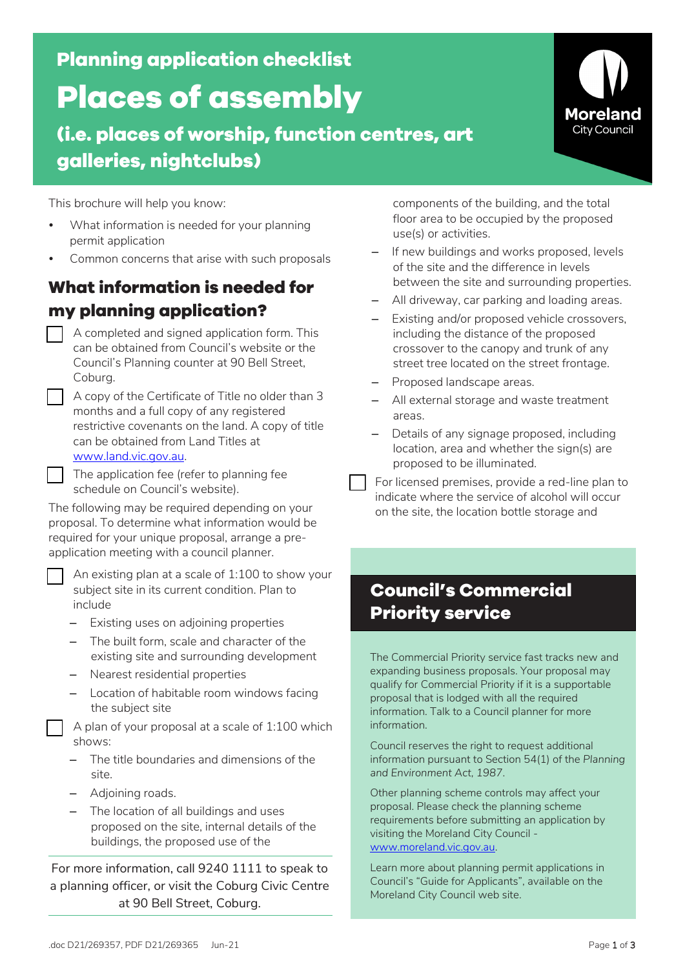**Planning application checklist**

# **Places of assembly**

**(i.e. places of worship, function centres, art galleries, nightclubs)**

This brochure will help you know:

- What information is needed for your planning permit application
- Common concerns that arise with such proposals

## **What information is needed for my planning application?**

- A completed and signed application form. This can be obtained from Council's website or the Council's Planning counter at 90 Bell Street, Coburg.
- A copy of the Certificate of Title no older than 3 months and a full copy of any registered restrictive covenants on the land. A copy of title can be obtained from Land Titles at www.land.vic.gov.au.
- The application fee (refer to planning fee schedule on Council's website).

The following may be required depending on your proposal. To determine what information would be required for your unique proposal, arrange a preapplication meeting with a council planner.

 An existing plan at a scale of 1:100 to show your subject site in its current condition. Plan to include

- Existing uses on adjoining properties
- The built form, scale and character of the existing site and surrounding development
- Nearest residential properties
- Location of habitable room windows facing the subject site

 A plan of your proposal at a scale of 1:100 which shows:

- The title boundaries and dimensions of the site.
- Adjoining roads.
- The location of all buildings and uses proposed on the site, internal details of the buildings, the proposed use of the

For more information, call 9240 1111 to speak to a planning officer, or visit the Coburg Civic Centre at 90 Bell Street, Coburg.

components of the building, and the total floor area to be occupied by the proposed use(s) or activities.

- If new buildings and works proposed, levels of the site and the difference in levels between the site and surrounding properties.
- All driveway, car parking and loading areas.
- Existing and/or proposed vehicle crossovers, including the distance of the proposed crossover to the canopy and trunk of any street tree located on the street frontage.
- Proposed landscape areas.
- All external storage and waste treatment areas.
- Details of any signage proposed, including location, area and whether the sign(s) are proposed to be illuminated.
- For licensed premises, provide a red-line plan to indicate where the service of alcohol will occur on the site, the location bottle storage and

# **Council's Commercial Priority service**

The Commercial Priority service fast tracks new and expanding business proposals. Your proposal may qualify for Commercial Priority if it is a supportable proposal that is lodged with all the required information. Talk to a Council planner for more information.

Council reserves the right to request additional information pursuant to Section 54(1) of the *Planning and Environment Act, 1987*.

Other planning scheme controls may affect your proposal. Please check the planning scheme requirements before submitting an application by visiting the Moreland City Council www.moreland.vic.gov.au.

Learn more about planning permit applications in Council's "Guide for Applicants", available on the Moreland City Council web site.

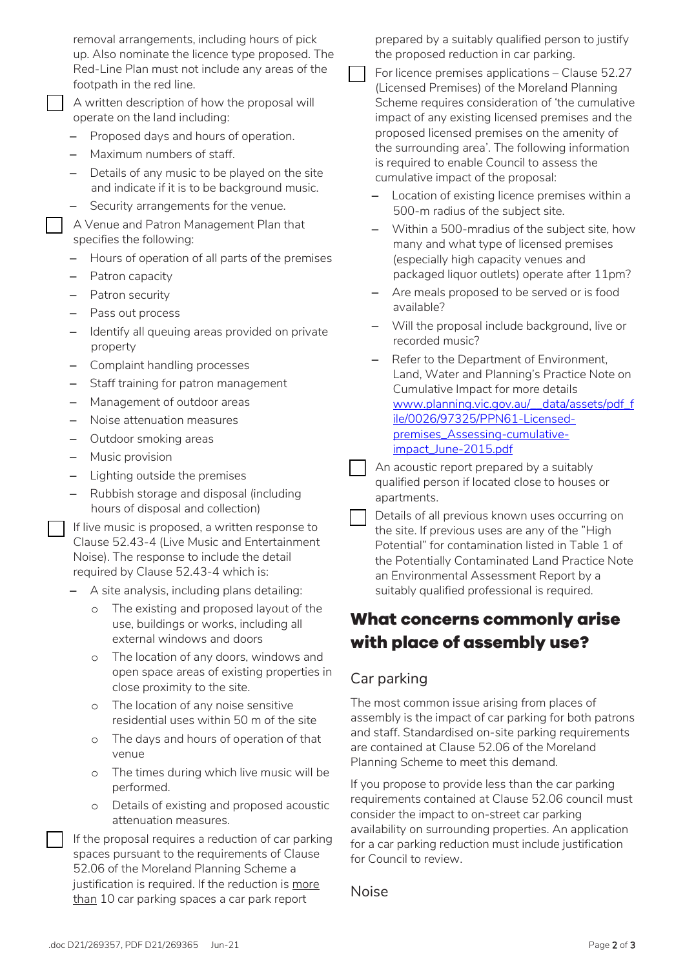removal arrangements, including hours of pick up. Also nominate the licence type proposed. The Red-Line Plan must not include any areas of the footpath in the red line.

 A written description of how the proposal will operate on the land including:

- Proposed days and hours of operation.
- Maximum numbers of staff.
- Details of any music to be played on the site and indicate if it is to be background music.
- Security arrangements for the venue.

 A Venue and Patron Management Plan that specifies the following:

- Hours of operation of all parts of the premises
- Patron capacity
- Patron security
- Pass out process
- Identify all queuing areas provided on private property
- Complaint handling processes
- Staff training for patron management
- Management of outdoor areas
- Noise attenuation measures
- Outdoor smoking areas
- Music provision
- Lighting outside the premises
- Rubbish storage and disposal (including hours of disposal and collection)
- If live music is proposed, a written response to Clause 52.43-4 (Live Music and Entertainment Noise). The response to include the detail required by Clause 52.43-4 which is:
- A site analysis, including plans detailing:
	- The existing and proposed layout of the use, buildings or works, including all external windows and doors
	- o The location of any doors, windows and open space areas of existing properties in close proximity to the site.
	- o The location of any noise sensitive residential uses within 50 m of the site
	- o The days and hours of operation of that venue
	- o The times during which live music will be performed.
	- o Details of existing and proposed acoustic attenuation measures.
- If the proposal requires a reduction of car parking spaces pursuant to the requirements of Clause 52.06 of the Moreland Planning Scheme a justification is required. If the reduction is more than 10 car parking spaces a car park report

prepared by a suitably qualified person to justify the proposed reduction in car parking.

- For licence premises applications Clause 52.27 (Licensed Premises) of the Moreland Planning Scheme requires consideration of 'the cumulative impact of any existing licensed premises and the proposed licensed premises on the amenity of the surrounding area'. The following information is required to enable Council to assess the cumulative impact of the proposal:
- Location of existing licence premises within a 500-m radius of the subject site.
- Within a 500-mradius of the subject site, how many and what type of licensed premises (especially high capacity venues and packaged liquor outlets) operate after 11pm?
- Are meals proposed to be served or is food available?
- Will the proposal include background, live or recorded music?
- Refer to the Department of Environment, Land, Water and Planning's Practice Note on Cumulative Impact for more details [www.planning.vic.gov.au/\\_\\_data/assets/pdf\\_f](https://www.planning.vic.gov.au/__data/assets/pdf_file/0026/97325/PPN61-Licensed-premises_Assessing-cumulative-impact_June-2015.pdf) [ile/0026/97325/PPN61-Licensed](https://www.planning.vic.gov.au/__data/assets/pdf_file/0026/97325/PPN61-Licensed-premises_Assessing-cumulative-impact_June-2015.pdf)[premises\\_Assessing-cumulative](https://www.planning.vic.gov.au/__data/assets/pdf_file/0026/97325/PPN61-Licensed-premises_Assessing-cumulative-impact_June-2015.pdf)[impact\\_June-2015.pdf](https://www.planning.vic.gov.au/__data/assets/pdf_file/0026/97325/PPN61-Licensed-premises_Assessing-cumulative-impact_June-2015.pdf)

 An acoustic report prepared by a suitably qualified person if located close to houses or apartments.

 Details of all previous known uses occurring on the site. If previous uses are any of the "High Potential" for contamination listed in Table 1 of the Potentially Contaminated Land Practice Note an Environmental Assessment Report by a suitably qualified professional is required.

### **What concerns commonly arise with place of assembly use?**

#### Car parking

The most common issue arising from places of assembly is the impact of car parking for both patrons and staff. Standardised on-site parking requirements are contained at Clause 52.06 of the Moreland Planning Scheme to meet this demand.

If you propose to provide less than the car parking requirements contained at Clause 52.06 council must consider the impact to on-street car parking availability on surrounding properties. An application for a car parking reduction must include justification for Council to review.

Noise